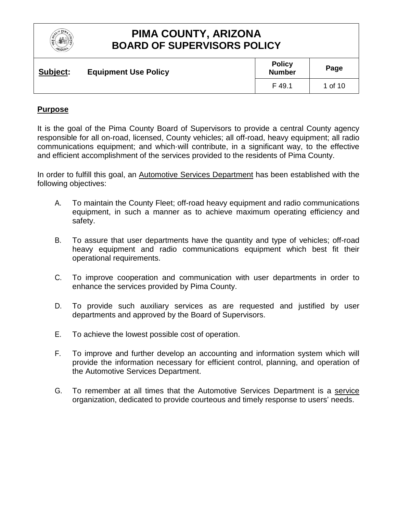

| Subject: | <b>Equipment Use Policy</b> | <b>Policy</b><br><b>Number</b> | Page    |
|----------|-----------------------------|--------------------------------|---------|
|          |                             | F49.1                          | 1 of 10 |

### **Purpose**

It is the goal of the Pima County Board of Supervisors to provide a central County agency responsible for all on-road, licensed, County vehicles; all off-road, heavy equipment; all radio communications equipment; and which·will contribute, in a significant way, to the effective and efficient accomplishment of the services provided to the residents of Pima County.

In order to fulfill this goal, an Automotive Services Department has been established with the following objectives:

- A. To maintain the County Fleet; off-road heavy equipment and radio communications equipment, in such a manner as to achieve maximum operating efficiency and safety.
- B. To assure that user departments have the quantity and type of vehicles; off-road heavy equipment and radio communications equipment which best fit their operational requirements.
- C. To improve cooperation and communication with user departments in order to enhance the services provided by Pima County.
- D. To provide such auxiliary services as are requested and justified by user departments and approved by the Board of Supervisors.
- E. To achieve the lowest possible cost of operation.
- F. To improve and further develop an accounting and information system which will provide the information necessary for efficient control, planning, and operation of the Automotive Services Department.
- G. To remember at all times that the Automotive Services Department is a service organization, dedicated to provide courteous and timely response to users' needs.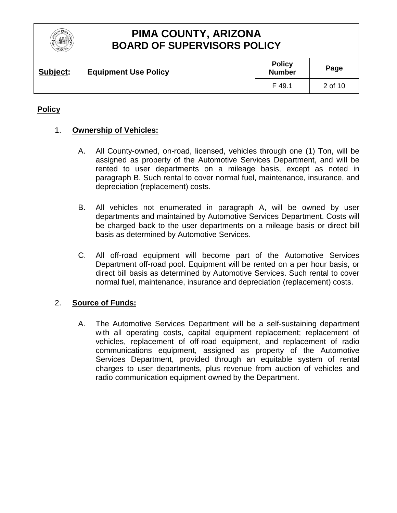

| Subject: | <b>Equipment Use Policy</b> | <b>Policy</b><br><b>Number</b> | Page    |
|----------|-----------------------------|--------------------------------|---------|
|          |                             | F 49.1                         | 2 of 10 |

### **Policy**

### 1. **Ownership of Vehicles:**

- A. All County-owned, on-road, licensed, vehicles through one (1) Ton, will be assigned as property of the Automotive Services Department, and will be rented to user departments on a mileage basis, except as noted in paragraph B. Such rental to cover normal fuel, maintenance, insurance, and depreciation (replacement) costs.
- B. All vehicles not enumerated in paragraph A, will be owned by user departments and maintained by Automotive Services Department. Costs will be charged back to the user departments on a mileage basis or direct bill basis as determined by Automotive Services.
- C. All off-road equipment will become part of the Automotive Services Department off-road pool. Equipment will be rented on a per hour basis, or direct bill basis as determined by Automotive Services. Such rental to cover normal fuel, maintenance, insurance and depreciation (replacement) costs.

### 2. **Source of Funds:**

A. The Automotive Services Department will be a self-sustaining department with all operating costs, capital equipment replacement; replacement of vehicles, replacement of off-road equipment, and replacement of radio communications equipment, assigned as property of the Automotive Services Department, provided through an equitable system of rental charges to user departments, plus revenue from auction of vehicles and radio communication equipment owned by the Department.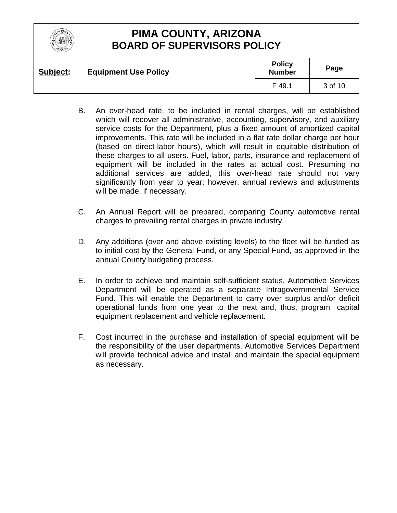

| Subject: | <b>Equipment Use Policy</b> | <b>Policy</b><br><b>Number</b> | Page    |
|----------|-----------------------------|--------------------------------|---------|
|          |                             | F 49.1                         | 3 of 10 |

- B. An over-head rate, to be included in rental charges, will be established which will recover all administrative, accounting, supervisory, and auxiliary service costs for the Department, plus a fixed amount of amortized capital improvements. This rate will be included in a flat rate dollar charge per hour (based on direct-labor hours), which will result in equitable distribution of these charges to all users. Fuel, labor, parts, insurance and replacement of equipment will be included in the rates at actual cost. Presuming no additional services are added, this over-head rate should not vary significantly from year to year; however, annual reviews and adjustments will be made, if necessary.
- C. An Annual Report will be prepared, comparing County automotive rental charges to prevailing rental charges in private industry.
- D. Any additions (over and above existing levels) to the fleet will be funded as to initial cost by the General Fund, or any Special Fund, as approved in the annual County budgeting process.
- E. In order to achieve and maintain self-sufficient status, Automotive Services Department will be operated as a separate Intragovernmental Service Fund. This will enable the Department to carry over surplus and/or deficit operational funds from one year to the next and, thus, program capital equipment replacement and vehicle replacement.
- F. Cost incurred in the purchase and installation of special equipment will be the responsibility of the user departments. Automotive Services Department will provide technical advice and install and maintain the special equipment as necessary.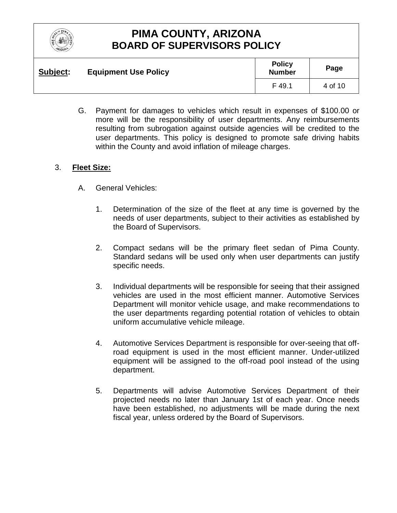

| Subject: | <b>Equipment Use Policy</b> | <b>Policy</b><br><b>Number</b> | Page    |
|----------|-----------------------------|--------------------------------|---------|
|          |                             | F 49.1                         | 4 of 10 |

G. Payment for damages to vehicles which result in expenses of \$100.00 or more will be the responsibility of user departments. Any reimbursements resulting from subrogation against outside agencies will be credited to the user departments. This policy is designed to promote safe driving habits within the County and avoid inflation of mileage charges.

### 3. **Fleet Size:**

- A. General Vehicles:
	- 1. Determination of the size of the fleet at any time is governed by the needs of user departments, subject to their activities as established by the Board of Supervisors.
	- 2. Compact sedans will be the primary fleet sedan of Pima County. Standard sedans will be used only when user departments can justify specific needs.
	- 3. Individual departments will be responsible for seeing that their assigned vehicles are used in the most efficient manner. Automotive Services Department will monitor vehicle usage, and make recommendations to the user departments regarding potential rotation of vehicles to obtain uniform accumulative vehicle mileage.
	- 4. Automotive Services Department is responsible for over-seeing that offroad equipment is used in the most efficient manner. Under-utilized equipment will be assigned to the off-road pool instead of the using department.
	- 5. Departments will advise Automotive Services Department of their projected needs no later than January 1st of each year. Once needs have been established, no adjustments will be made during the next fiscal year, unless ordered by the Board of Supervisors.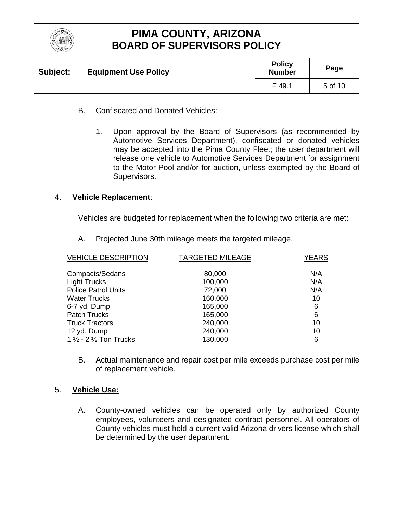

| Subject: | <b>Equipment Use Policy</b> | <b>Policy</b><br><b>Number</b> | Page    |
|----------|-----------------------------|--------------------------------|---------|
|          |                             | F 49.1                         | 5 of 10 |

- B. Confiscated and Donated Vehicles:
	- 1. Upon approval by the Board of Supervisors (as recommended by Automotive Services Department), confiscated or donated vehicles may be accepted into the Pima County Fleet; the user department will release one vehicle to Automotive Services Department for assignment to the Motor Pool and/or for auction, unless exempted by the Board of Supervisors.

#### 4. **Vehicle Replacement**:

Vehicles are budgeted for replacement when the following two criteria are met:

A. Projected June 30th mileage meets the targeted mileage.

| <b>VEHICLE DESCRIPTION</b> | <b>TARGETED MILEAGE</b> | <b>YEARS</b> |
|----------------------------|-------------------------|--------------|
| Compacts/Sedans            | 80,000                  | N/A          |
| <b>Light Trucks</b>        | 100,000                 | N/A          |
| <b>Police Patrol Units</b> | 72,000                  | N/A          |
| <b>Water Trucks</b>        | 160,000                 | 10           |
| 6-7 yd. Dump               | 165,000                 | 6            |
| <b>Patch Trucks</b>        | 165,000                 | 6            |
| <b>Truck Tractors</b>      | 240,000                 | 10           |
| 12 yd. Dump                | 240,000                 | 10           |
| 1 1/2 - 2 1/2 Ton Trucks   | 130,000                 | 6            |

B. Actual maintenance and repair cost per mile exceeds purchase cost per mile of replacement vehicle.

#### 5. **Vehicle Use:**

A. County-owned vehicles can be operated only by authorized County employees, volunteers and designated contract personnel. All operators of County vehicles must hold a current valid Arizona drivers license which shall be determined by the user department.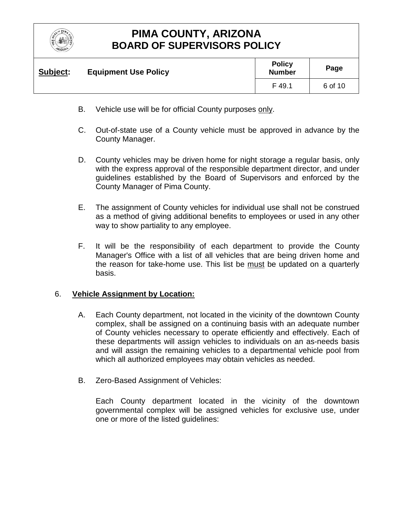

| <b>Subject:</b> | <b>Equipment Use Policy</b> | <b>Policy</b><br><b>Number</b> | Page    |
|-----------------|-----------------------------|--------------------------------|---------|
|                 |                             | F 49.1                         | 6 of 10 |

- B. Vehicle use will be for official County purposes only.
- C. Out-of-state use of a County vehicle must be approved in advance by the County Manager.
- D. County vehicles may be driven home for night storage a regular basis, only with the express approval of the responsible department director, and under guidelines established by the Board of Supervisors and enforced by the County Manager of Pima County.
- E. The assignment of County vehicles for individual use shall not be construed as a method of giving additional benefits to employees or used in any other way to show partiality to any employee.
- F. It will be the responsibility of each department to provide the County Manager's Office with a list of all vehicles that are being driven home and the reason for take-home use. This list be must be updated on a quarterly basis.

#### 6. **Vehicle Assignment by Location:**

- A. Each County department, not located in the vicinity of the downtown County complex, shall be assigned on a continuing basis with an adequate number of County vehicles necessary to operate efficiently and effectively. Each of these departments will assign vehicles to individuals on an as-needs basis and will assign the remaining vehicles to a departmental vehicle pool from which all authorized employees may obtain vehicles as needed.
- B. Zero-Based Assignment of Vehicles:

Each County department located in the vicinity of the downtown governmental complex will be assigned vehicles for exclusive use, under one or more of the listed guidelines: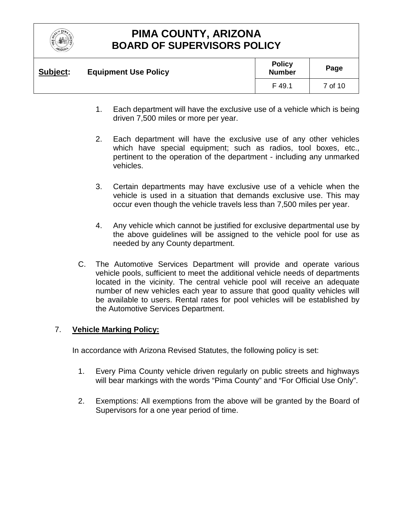

| Subject: | <b>Equipment Use Policy</b> | <b>Policy</b><br><b>Number</b> | Page    |
|----------|-----------------------------|--------------------------------|---------|
|          |                             | F 49.1                         | 7 of 10 |

- 1. Each department will have the exclusive use of a vehicle which is being driven 7,500 miles or more per year.
- 2. Each department will have the exclusive use of any other vehicles which have special equipment; such as radios, tool boxes, etc., pertinent to the operation of the department - including any unmarked vehicles.
- 3. Certain departments may have exclusive use of a vehicle when the vehicle is used in a situation that demands exclusive use. This may occur even though the vehicle travels less than 7,500 miles per year.
- 4. Any vehicle which cannot be justified for exclusive departmental use by the above guidelines will be assigned to the vehicle pool for use as needed by any County department.
- C. The Automotive Services Department will provide and operate various vehicle pools, sufficient to meet the additional vehicle needs of departments located in the vicinity. The central vehicle pool will receive an adequate number of new vehicles each year to assure that good quality vehicles will be available to users. Rental rates for pool vehicles will be established by the Automotive Services Department.

### 7. **Vehicle Marking Policy:**

In accordance with Arizona Revised Statutes, the following policy is set:

- 1. Every Pima County vehicle driven regularly on public streets and highways will bear markings with the words "Pima County" and "For Official Use Only".
- 2. Exemptions: All exemptions from the above will be granted by the Board of Supervisors for a one year period of time.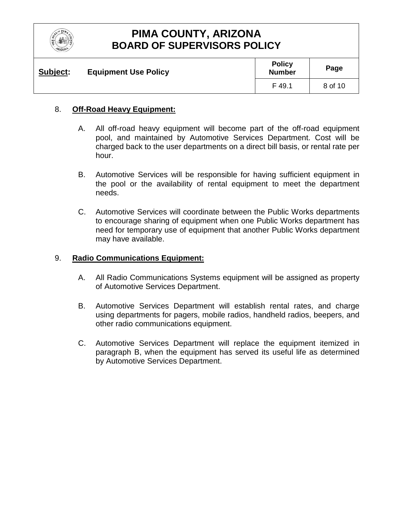

| Subject: | <b>Equipment Use Policy</b> | <b>Policy</b><br><b>Number</b> | Page    |
|----------|-----------------------------|--------------------------------|---------|
|          |                             | F 49.1                         | 8 of 10 |

### 8. **Off-Road Heavy Equipment:**

- A. All off-road heavy equipment will become part of the off-road equipment pool, and maintained by Automotive Services Department. Cost will be charged back to the user departments on a direct bill basis, or rental rate per hour.
- B. Automotive Services will be responsible for having sufficient equipment in the pool or the availability of rental equipment to meet the department needs.
- C. Automotive Services will coordinate between the Public Works departments to encourage sharing of equipment when one Public Works department has need for temporary use of equipment that another Public Works department may have available.

#### 9. **Radio Communications Equipment:**

- A. All Radio Communications Systems equipment will be assigned as property of Automotive Services Department.
- B. Automotive Services Department will establish rental rates, and charge using departments for pagers, mobile radios, handheld radios, beepers, and other radio communications equipment.
- C. Automotive Services Department will replace the equipment itemized in paragraph B, when the equipment has served its useful life as determined by Automotive Services Department.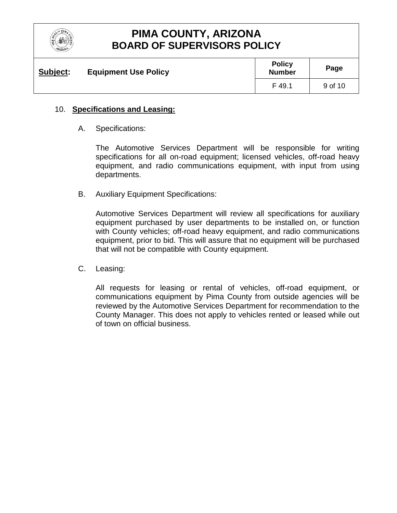

| Subject: | <b>Equipment Use Policy</b> | <b>Policy</b><br><b>Number</b> | Page    |
|----------|-----------------------------|--------------------------------|---------|
|          |                             | F 49.1                         | 9 of 10 |

### 10. **Specifications and Leasing:**

A. Specifications:

The Automotive Services Department will be responsible for writing specifications for all on-road equipment; licensed vehicles, off-road heavy equipment, and radio communications equipment, with input from using departments.

B. Auxiliary Equipment Specifications:

Automotive Services Department will review all specifications for auxiliary equipment purchased by user departments to be installed on, or function with County vehicles; off-road heavy equipment, and radio communications equipment, prior to bid. This will assure that no equipment will be purchased that will not be compatible with County equipment.

C. Leasing:

All requests for leasing or rental of vehicles, off-road equipment, or communications equipment by Pima County from outside agencies will be reviewed by the Automotive Services Department for recommendation to the County Manager. This does not apply to vehicles rented or leased while out of town on official business.